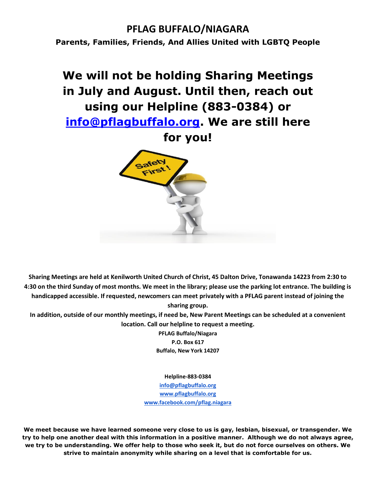### **PFLAG BUFFALO/NIAGARA**

**Parents, Families, Friends, And Allies United with LGBTQ People**

## **We will not be holding Sharing Meetings in July and August. Until then, reach out using our Helpline (883-0384) or [info@pflagbuffalo.org.](mailto:info@pflagbuffalo.org) We are still here**

**for you!**



**Sharing Meetings are held at Kenilworth United Church of Christ, 45 Dalton Drive, Tonawanda 14223 from 2:30 to 4:30 on the third Sunday of most months. We meet in the library; please use the parking lot entrance. The building is handicapped accessible. If requested, newcomers can meet privately with a PFLAG parent instead of joining the sharing group.**

**In addition, outside of our monthly meetings, if need be, New Parent Meetings can be scheduled at a convenient location. Call our helpline to request a meeting.**

> **PFLAG Buffalo/Niagara P.O. Box 617 Buffalo, New York 14207**

> > **Helpline-883-0384**

**[info@pflagbuffalo.org](mailto:info@pflagbuffalo.org) [www.pflagbuffalo.org](http://www.pflagbuffalo.org/) [www.facebook.com/pflag.niagara](http://www.facebook.com/pflag.niagara)**

**We meet because we have learned someone very close to us is gay, lesbian, bisexual, or transgender. We try to help one another deal with this information in a positive manner. Although we do not always agree, we try to be understanding. We offer help to those who seek it, but do not force ourselves on others. We strive to maintain anonymity while sharing on a level that is comfortable for us.**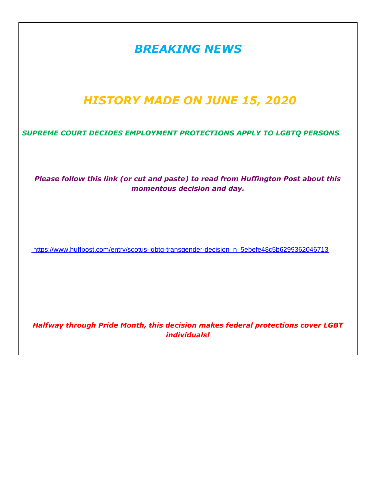| <b>BREAKING NEWS</b>                                                                                              |
|-------------------------------------------------------------------------------------------------------------------|
| <b>HISTORY MADE ON JUNE 15, 2020</b>                                                                              |
| SUPREME COURT DECIDES EMPLOYMENT PROTECTIONS APPLY TO LGBTQ PERSONS                                               |
| Please follow this link (or cut and paste) to read from Huffington Post about this<br>momentous decision and day. |
| https://www.huffpost.com/entry/scotus-lgbtq-transgender-decision_n_5ebefe48c5b6299362046713                       |
| Halfway through Pride Month, this decision makes federal protections cover LGBT<br><i>individuals!</i>            |
|                                                                                                                   |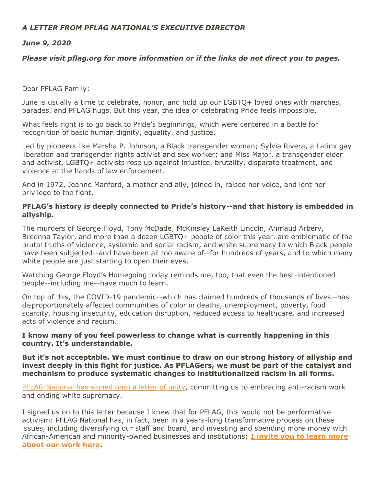#### *A LETTER FROM PFLAG NATIONAL'S EXECUTIVE DIRECTOR*

#### *June 9, 2020*

#### *Please visit pflag.org for more information or if the links do not direct you to pages.*

Dear PFLAG Family:

June is usually a time to celebrate, honor, and hold up our LGBTQ+ loved ones with marches, parades, and PFLAG hugs. But this year, the idea of celebrating Pride feels impossible.

What feels right is to go back to Pride's beginnings, which were centered in a battle for recognition of basic human dignity, equality, and justice.

Led by pioneers like Marsha P. Johnson, a Black transgender woman; Sylvia Rivera, a Latinx gay liberation and transgender rights activist and sex worker; and Miss Major, a transgender elder and activist, LGBTQ+ activists rose up against injustice, brutality, disparate treatment, and violence at the hands of law enforcement.

And in 1972, Jeanne Manford, a mother and ally, joined in, raised her voice, and lent her privilege to the fight.

#### **PFLAG's history is deeply connected to Pride's history--and that history is embedded in allyship.**

The murders of George Floyd, Tony McDade, McKinsley LaKeith Lincoln, Ahmaud Arbery, Breonna Taylor, and more than a dozen LGBTQ+ people of color this year, are emblematic of the brutal truths of violence, systemic and social racism, and white supremacy to which Black people have been subjected--and have been all too aware of--for hundreds of years, and to which many white people are just starting to open their eyes.

Watching George Floyd's Homegoing today reminds me, too, that even the best-intentioned people--including me--have much to learn.

On top of this, the COVID-19 pandemic--which has claimed hundreds of thousands of lives--has disproportionately affected communities of color in deaths, unemployment, poverty, food scarcity, housing insecurity, education disruption, reduced access to healthcare, and increased acts of violence and racism.

#### **I know many of you feel powerless to change what is currently happening in this country. It's understandable.**

**But it's not acceptable. We must continue to draw on our strong history of allyship and invest deeply in this fight for justice. As PFLAGers, we must be part of the catalyst and mechanism to produce systematic changes to institutionalized racism in all forms.**

PFLAG [National](https://nam10.safelinks.protection.outlook.com/?url=https%3A%2F%2Fdefault.salsalabs.org%2FT9435b0b8-974f-4616-add0-9be4d47e73c2%2F014f26c5-1282-4186-b1fd-541691da19f8&data=02%7C01%7C%7C3f5c3695a32b440cde8408d80cbb7df1%7C84df9e7fe9f640afb435aaaaaaaaaaaa%7C1%7C0%7C637273346693984683&sdata=yLkIwCvHkV34rsF8KEl12pOFEH4ouz8h1SsAJadQMKE%3D&reserved=0) has signed onto a letter of unity, committing us to embracing anti-racism work and ending white supremacy.

I signed us on to this letter because I knew that for PFLAG, this would not be performative activism: PFLAG National has, in fact, been in a years-long transformative process on these issues, including diversifying our staff and board, and investing and spending more money with African-American and minority-owned businesses and institutions; **I [invite](https://nam10.safelinks.protection.outlook.com/?url=https%3A%2F%2Fdefault.salsalabs.org%2FTdc077487-fa16-43ef-8a88-f074b945bf03%2F014f26c5-1282-4186-b1fd-541691da19f8&data=02%7C01%7C%7C3f5c3695a32b440cde8408d80cbb7df1%7C84df9e7fe9f640afb435aaaaaaaaaaaa%7C1%7C0%7C637273346693994677&sdata=BF9VyZTd13i%2F1OUC42wUR1%2BEnLxPvlmBcMwm9fMtqEI%3D&reserved=0) you to learn more [about](https://nam10.safelinks.protection.outlook.com/?url=https%3A%2F%2Fdefault.salsalabs.org%2FTdc077487-fa16-43ef-8a88-f074b945bf03%2F014f26c5-1282-4186-b1fd-541691da19f8&data=02%7C01%7C%7C3f5c3695a32b440cde8408d80cbb7df1%7C84df9e7fe9f640afb435aaaaaaaaaaaa%7C1%7C0%7C637273346693994677&sdata=BF9VyZTd13i%2F1OUC42wUR1%2BEnLxPvlmBcMwm9fMtqEI%3D&reserved=0) our work here.**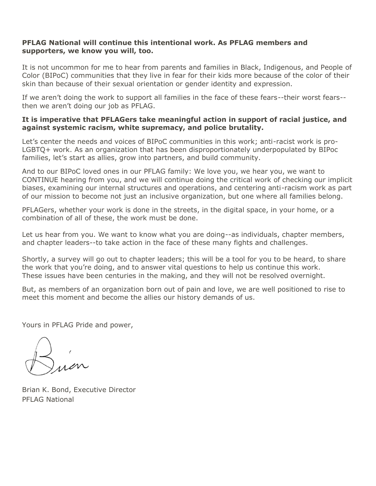#### **PFLAG National will continue this intentional work. As PFLAG members and supporters, we know you will, too.**

It is not uncommon for me to hear from parents and families in Black, Indigenous, and People of Color (BIPoC) communities that they live in fear for their kids more because of the color of their skin than because of their sexual orientation or gender identity and expression.

If we aren't doing the work to support all families in the face of these fears--their worst fears- then we aren't doing our job as PFLAG.

#### **It is imperative that PFLAGers take meaningful action in support of racial justice, and against systemic racism, white supremacy, and police brutality.**

Let's center the needs and voices of BIPoC communities in this work; anti-racist work is pro-LGBTQ+ work. As an organization that has been disproportionately underpopulated by BIPoc families, let's start as allies, grow into partners, and build community.

And to our BIPoC loved ones in our PFLAG family: We love you, we hear you, we want to CONTINUE hearing from you, and we will continue doing the critical work of checking our implicit biases, examining our internal structures and operations, and centering anti-racism work as part of our mission to become not just an inclusive organization, but one where all families belong.

PFLAGers, whether your work is done in the streets, in the digital space, in your home, or a combination of all of these, the work must be done.

Let us hear from you. We want to know what you are doing--as individuals, chapter members, and chapter leaders--to take action in the face of these many fights and challenges.

Shortly, a survey will go out to chapter leaders; this will be a tool for you to be heard, to share the work that you're doing, and to answer vital questions to help us continue this work. These issues have been centuries in the making, and they will not be resolved overnight.

But, as members of an organization born out of pain and love, we are well positioned to rise to meet this moment and become the allies our history demands of us.

Yours in PFLAG Pride and power,

Brian K. Bond, Executive Director PFLAG National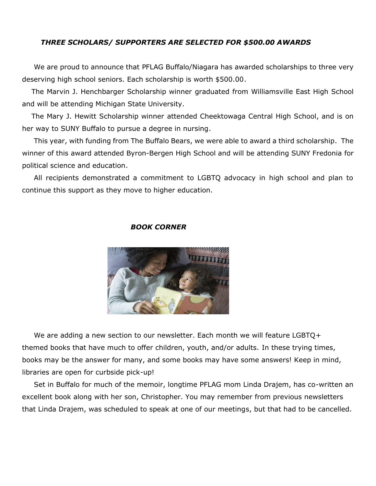#### *THREE SCHOLARS/ SUPPORTERS ARE SELECTED FOR \$500.00 AWARDS*

 We are proud to announce that PFLAG Buffalo/Niagara has awarded scholarships to three very deserving high school seniors. Each scholarship is worth \$500.00.

 The Marvin J. Henchbarger Scholarship winner graduated from Williamsville East High School and will be attending Michigan State University.

 The Mary J. Hewitt Scholarship winner attended Cheektowaga Central High School, and is on her way to SUNY Buffalo to pursue a degree in nursing.

 This year, with funding from The Buffalo Bears, we were able to award a third scholarship. The winner of this award attended Byron-Bergen High School and will be attending SUNY Fredonia for political science and education.

 All recipients demonstrated a commitment to LGBTQ advocacy in high school and plan to continue this support as they move to higher education.

### *BOOK CORNER*



We are adding a new section to our newsletter. Each month we will feature LGBTQ+ themed books that have much to offer children, youth, and/or adults. In these trying times, books may be the answer for many, and some books may have some answers! Keep in mind, libraries are open for curbside pick-up!

 Set in Buffalo for much of the memoir, longtime PFLAG mom Linda Drajem, has co-written an excellent book along with her son, Christopher. You may remember from previous newsletters that Linda Drajem, was scheduled to speak at one of our meetings, but that had to be cancelled.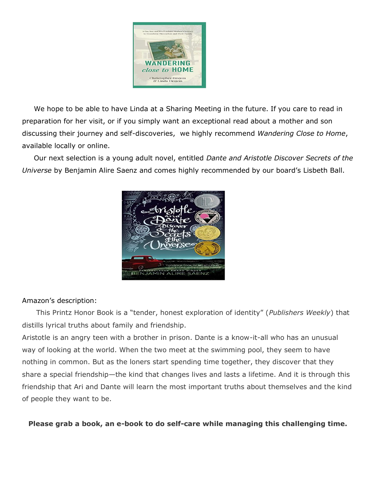

 We hope to be able to have Linda at a Sharing Meeting in the future. If you care to read in preparation for her visit, or if you simply want an exceptional read about a mother and son discussing their journey and self-discoveries, we highly recommend *Wandering Close to Home*, available locally or online.

 Our next selection is a young adult novel, entitled *Dante and Aristotle Discover Secrets of the Universe* by Benjamin Alire Saenz and comes highly recommended by our board's Lisbeth Ball.



#### Amazon's description:

 This Printz Honor Book is a "tender, honest exploration of identity" (*Publishers Weekly*) that distills lyrical truths about family and friendship.

Aristotle is an angry teen with a brother in prison. Dante is a know-it-all who has an unusual way of looking at the world. When the two meet at the swimming pool, they seem to have nothing in common. But as the loners start spending time together, they discover that they share a special friendship—the kind that changes lives and lasts a lifetime. And it is through this friendship that Ari and Dante will learn the most important truths about themselves and the kind of people they want to be.

**Please grab a book, an e-book to do self-care while managing this challenging time.**